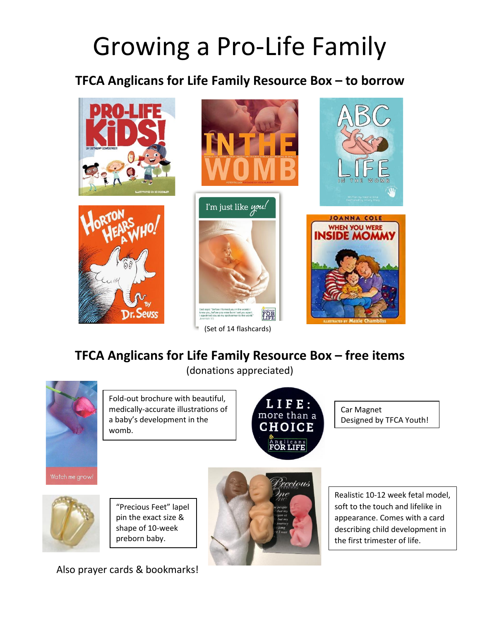# Growing a Pro-Life Family

## **TFCA Anglicans for Life Family Resource Box – to borrow**









(Set of 14 flashcards)





# **TFCA Anglicans for Life Family Resource Box – free items**

(donations appreciated)



Fold-out brochure with beautiful, medically-accurate illustrations of a baby's development in the womb.



Car Magnet Designed by TFCA Youth!



"Precious Feet" lapel pin the exact size & shape of 10-week preborn baby.



Realistic 10-12 week fetal model, soft to the touch and lifelike in appearance. Comes with a card describing child development in the first trimester of life.

Also prayer cards & bookmarks!